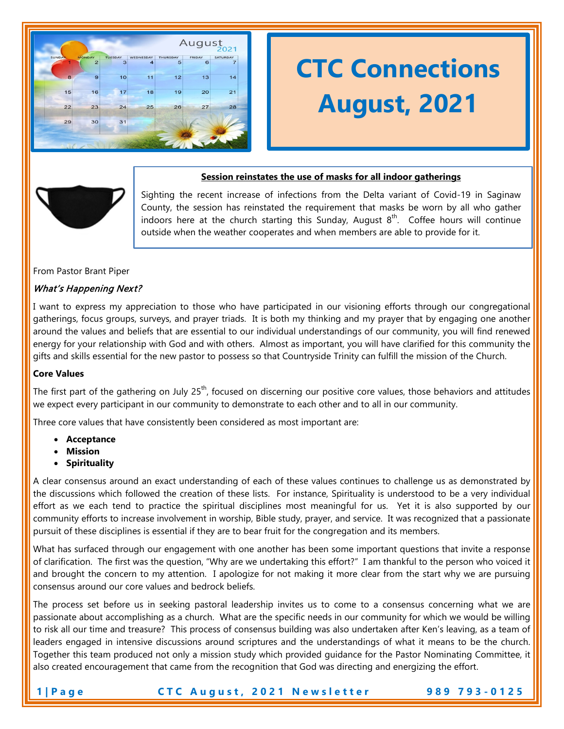

# **CTC Connections August, 2021**



# **Session reinstates the use of masks for all indoor gatherings**

Sighting the recent increase of infections from the Delta variant of Covid-19 in Saginaw County, the session has reinstated the requirement that masks be worn by all who gather indoors here at the church starting this Sunday, August  $8<sup>th</sup>$ . Coffee hours will continue outside when the weather cooperates and when members are able to provide for it.

#### From Pastor Brant Piper

# What's Happening Next?

I want to express my appreciation to those who have participated in our visioning efforts through our congregational gatherings, focus groups, surveys, and prayer triads. It is both my thinking and my prayer that by engaging one another around the values and beliefs that are essential to our individual understandings of our community, you will find renewed energy for your relationship with God and with others. Almost as important, you will have clarified for this community the gifts and skills essential for the new pastor to possess so that Countryside Trinity can fulfill the mission of the Church.

#### **Core Values**

The first part of the gathering on July  $25<sup>th</sup>$ , focused on discerning our positive core values, those behaviors and attitudes we expect every participant in our community to demonstrate to each other and to all in our community.

Three core values that have consistently been considered as most important are:

- **Acceptance**
- **Mission**
- **Spirituality**

A clear consensus around an exact understanding of each of these values continues to challenge us as demonstrated by the discussions which followed the creation of these lists. For instance, Spirituality is understood to be a very individual effort as we each tend to practice the spiritual disciplines most meaningful for us. Yet it is also supported by our community efforts to increase involvement in worship, Bible study, prayer, and service. It was recognized that a passionate pursuit of these disciplines is essential if they are to bear fruit for the congregation and its members.

What has surfaced through our engagement with one another has been some important questions that invite a response of clarification. The first was the question, "Why are we undertaking this effort?" I am thankful to the person who voiced it and brought the concern to my attention. I apologize for not making it more clear from the start why we are pursuing consensus around our core values and bedrock beliefs.

The process set before us in seeking pastoral leadership invites us to come to a consensus concerning what we are passionate about accomplishing as a church. What are the specific needs in our community for which we would be willing to risk all our time and treasure? This process of consensus building was also undertaken after Ken's leaving, as a team of leaders engaged in intensive discussions around scriptures and the understandings of what it means to be the church. Together this team produced not only a mission study which provided guidance for the Pastor Nominating Committee, it also created encouragement that came from the recognition that God was directing and energizing the effort.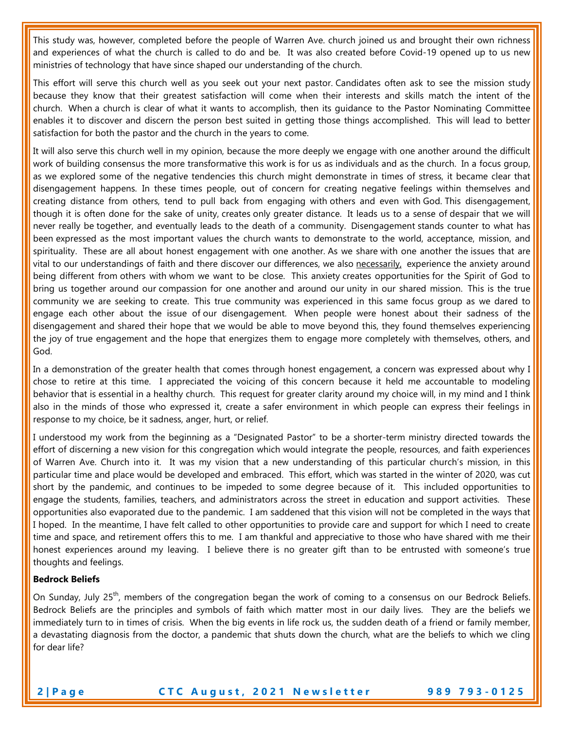This study was, however, completed before the people of Warren Ave. church joined us and brought their own richness and experiences of what the church is called to do and be. It was also created before Covid-19 opened up to us new ministries of technology that have since shaped our understanding of the church.

This effort will serve this church well as you seek out your next pastor. Candidates often ask to see the mission study because they know that their greatest satisfaction will come when their interests and skills match the intent of the church. When a church is clear of what it wants to accomplish, then its guidance to the Pastor Nominating Committee enables it to discover and discern the person best suited in getting those things accomplished. This will lead to better satisfaction for both the pastor and the church in the years to come.

It will also serve this church well in my opinion, because the more deeply we engage with one another around the difficult work of building consensus the more transformative this work is for us as individuals and as the church. In a focus group, as we explored some of the negative tendencies this church might demonstrate in times of stress, it became clear that disengagement happens. In these times people, out of concern for creating negative feelings within themselves and creating distance from others, tend to pull back from engaging with others and even with God. This disengagement, though it is often done for the sake of unity, creates only greater distance. It leads us to a sense of despair that we will never really be together, and eventually leads to the death of a community. Disengagement stands counter to what has been expressed as the most important values the church wants to demonstrate to the world, acceptance, mission, and spirituality. These are all about honest engagement with one another. As we share with one another the issues that are vital to our understandings of faith and there discover our differences, we also necessarily, experience the anxiety around being different from others with whom we want to be close. This anxiety creates opportunities for the Spirit of God to bring us together around our compassion for one another and around our unity in our shared mission. This is the true community we are seeking to create. This true community was experienced in this same focus group as we dared to engage each other about the issue of our disengagement. When people were honest about their sadness of the disengagement and shared their hope that we would be able to move beyond this, they found themselves experiencing the joy of true engagement and the hope that energizes them to engage more completely with themselves, others, and God.

In a demonstration of the greater health that comes through honest engagement, a concern was expressed about why I chose to retire at this time. I appreciated the voicing of this concern because it held me accountable to modeling behavior that is essential in a healthy church. This request for greater clarity around my choice will, in my mind and I think also in the minds of those who expressed it, create a safer environment in which people can express their feelings in response to my choice, be it sadness, anger, hurt, or relief.

I understood my work from the beginning as a "Designated Pastor" to be a shorter-term ministry directed towards the effort of discerning a new vision for this congregation which would integrate the people, resources, and faith experiences of Warren Ave. Church into it. It was my vision that a new understanding of this particular church's mission, in this particular time and place would be developed and embraced. This effort, which was started in the winter of 2020, was cut short by the pandemic, and continues to be impeded to some degree because of it. This included opportunities to engage the students, families, teachers, and administrators across the street in education and support activities. These opportunities also evaporated due to the pandemic. I am saddened that this vision will not be completed in the ways that I hoped. In the meantime, I have felt called to other opportunities to provide care and support for which I need to create time and space, and retirement offers this to me. I am thankful and appreciative to those who have shared with me their honest experiences around my leaving. I believe there is no greater gift than to be entrusted with someone's true thoughts and feelings.

#### **Bedrock Beliefs**

On Sunday, July 25<sup>th</sup>, members of the congregation began the work of coming to a consensus on our Bedrock Beliefs. Bedrock Beliefs are the principles and symbols of faith which matter most in our daily lives. They are the beliefs we immediately turn to in times of crisis. When the big events in life rock us, the sudden death of a friend or family member, a devastating diagnosis from the doctor, a pandemic that shuts down the church, what are the beliefs to which we cling for dear life?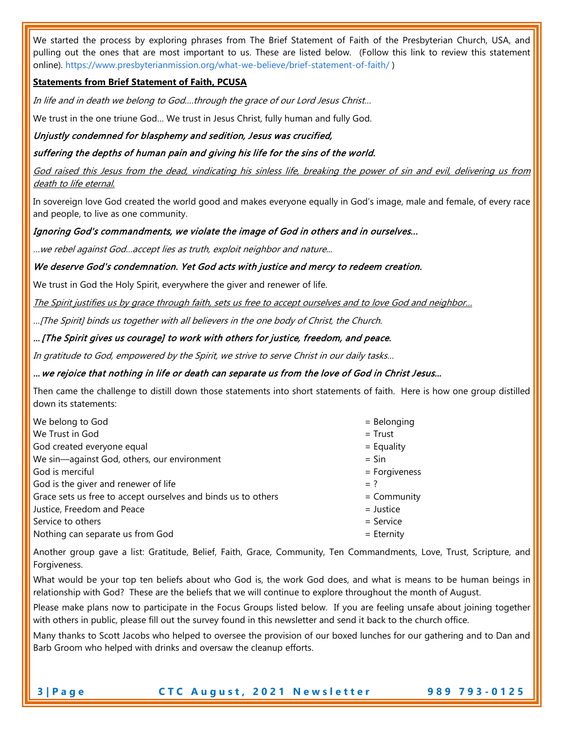We started the process by exploring phrases from The Brief Statement of Faith of the Presbyterian Church, USA, and pulling out the ones that are most important to us. These are listed below. (Follow this link to review this statement online). https://www.presbyterianmission.org/what-we-believe/brief-statement-of-faith/ )

# **Statements from Brief Statement of Faith, PCUSA**

In life and in death we belong to God.…through the grace of our Lord Jesus Christ…

We trust in the one triune God… We trust in Jesus Christ, fully human and fully God.

#### Unjustly condemned for blasphemy and sedition, Jesus was crucified,

suffering the depths of human pain and giving his life for the sins of the world.

God raised this Jesus from the dead, vindicating his sinless life, breaking the power of sin and evil, delivering us from death to life eternal.

In sovereign love God created the world good and makes everyone equally in God's image, male and female, of every race and people, to live as one community.

#### Ignoring God's commandments, we violate the image of God in others and in ourselves...

…we rebel against God…accept lies as truth, exploit neighbor and nature...

#### We deserve God's condemnation. Yet God acts with justice and mercy to redeem creation.

We trust in God the Holy Spirit, everywhere the giver and renewer of life.

The Spirit justifies us by grace through faith, sets us free to accept ourselves and to love God and neighbor...

…[The Spirit] binds us together with all believers in the one body of Christ, the Church.

#### … [The Spirit gives us courage] to work with others for justice, freedom, and peace.

In gratitude to God, empowered by the Spirit, we strive to serve Christ in our daily tasks…

#### … we rejoice that nothing in life or death can separate us from the love of God in Christ Jesus…

Then came the challenge to distill down those statements into short statements of faith. Here is how one group distilled down its statements:

| We belong to God                                              | $=$ Belonging   |
|---------------------------------------------------------------|-----------------|
| We Trust in God                                               | $=$ Trust       |
| God created everyone equal                                    | $=$ Equality    |
| We sin-against God, others, our environment                   | $=$ Sin         |
| God is merciful                                               | $=$ Forgiveness |
| God is the giver and renewer of life                          | $=$ ?           |
| Grace sets us free to accept ourselves and binds us to others | $=$ Community   |
| Justice, Freedom and Peace                                    | $=$ Justice     |
| Service to others                                             | $=$ Service     |
| Nothing can separate us from God                              | $=$ Eternity    |

Another group gave a list: Gratitude, Belief, Faith, Grace, Community, Ten Commandments, Love, Trust, Scripture, and Forgiveness.

What would be your top ten beliefs about who God is, the work God does, and what is means to be human beings in relationship with God? These are the beliefs that we will continue to explore throughout the month of August.

Please make plans now to participate in the Focus Groups listed below. If you are feeling unsafe about joining together with others in public, please fill out the survey found in this newsletter and send it back to the church office.

Many thanks to Scott Jacobs who helped to oversee the provision of our boxed lunches for our gathering and to Dan and Barb Groom who helped with drinks and oversaw the cleanup efforts.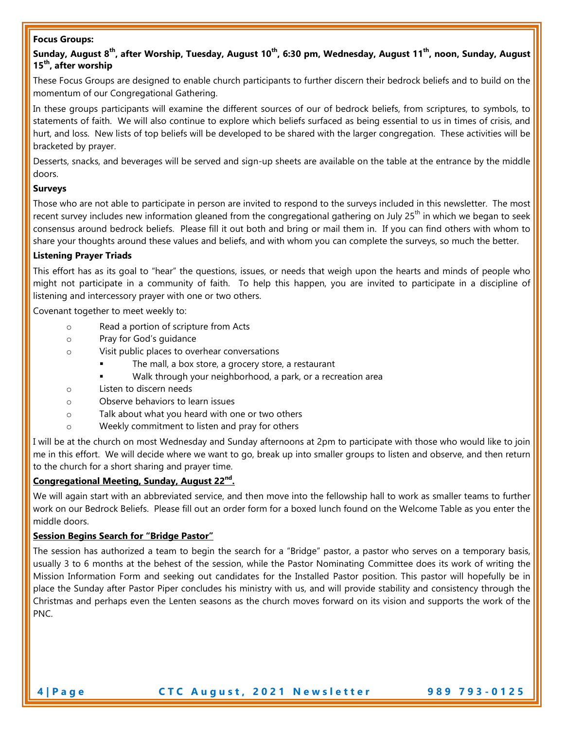#### **Focus Groups:**

# Sunday, August 8<sup>th</sup>, after Worship, Tuesday, August 10<sup>th</sup>, 6:30 pm, Wednesday, August 11<sup>th</sup>, noon, Sunday, August **15th, after worship**

These Focus Groups are designed to enable church participants to further discern their bedrock beliefs and to build on the momentum of our Congregational Gathering.

In these groups participants will examine the different sources of our of bedrock beliefs, from scriptures, to symbols, to statements of faith. We will also continue to explore which beliefs surfaced as being essential to us in times of crisis, and hurt, and loss. New lists of top beliefs will be developed to be shared with the larger congregation. These activities will be bracketed by prayer.

Desserts, snacks, and beverages will be served and sign-up sheets are available on the table at the entrance by the middle doors.

#### **Surveys**

Those who are not able to participate in person are invited to respond to the surveys included in this newsletter. The most recent survey includes new information gleaned from the congregational gathering on July 25<sup>th</sup> in which we began to seek consensus around bedrock beliefs. Please fill it out both and bring or mail them in. If you can find others with whom to share your thoughts around these values and beliefs, and with whom you can complete the surveys, so much the better.

#### **Listening Prayer Triads**

This effort has as its goal to "hear" the questions, issues, or needs that weigh upon the hearts and minds of people who might not participate in a community of faith. To help this happen, you are invited to participate in a discipline of listening and intercessory prayer with one or two others.

Covenant together to meet weekly to:

- o Read a portion of scripture from Acts
- o Pray for God's guidance
- o Visit public places to overhear conversations
	- The mall, a box store, a grocery store, a restaurant
	- Walk through your neighborhood, a park, or a recreation area
- o Listen to discern needs
- o Observe behaviors to learn issues
- o Talk about what you heard with one or two others
- o Weekly commitment to listen and pray for others

I will be at the church on most Wednesday and Sunday afternoons at 2pm to participate with those who would like to join me in this effort. We will decide where we want to go, break up into smaller groups to listen and observe, and then return to the church for a short sharing and prayer time.

# **Congregational Meeting, Sunday, August 22nd.**

We will again start with an abbreviated service, and then move into the fellowship hall to work as smaller teams to further work on our Bedrock Beliefs. Please fill out an order form for a boxed lunch found on the Welcome Table as you enter the middle doors.

#### **Session Begins Search for "Bridge Pastor"**

The session has authorized a team to begin the search for a "Bridge" pastor, a pastor who serves on a temporary basis, usually 3 to 6 months at the behest of the session, while the Pastor Nominating Committee does its work of writing the Mission Information Form and seeking out candidates for the Installed Pastor position. This pastor will hopefully be in place the Sunday after Pastor Piper concludes his ministry with us, and will provide stability and consistency through the Christmas and perhaps even the Lenten seasons as the church moves forward on its vision and supports the work of the PNC.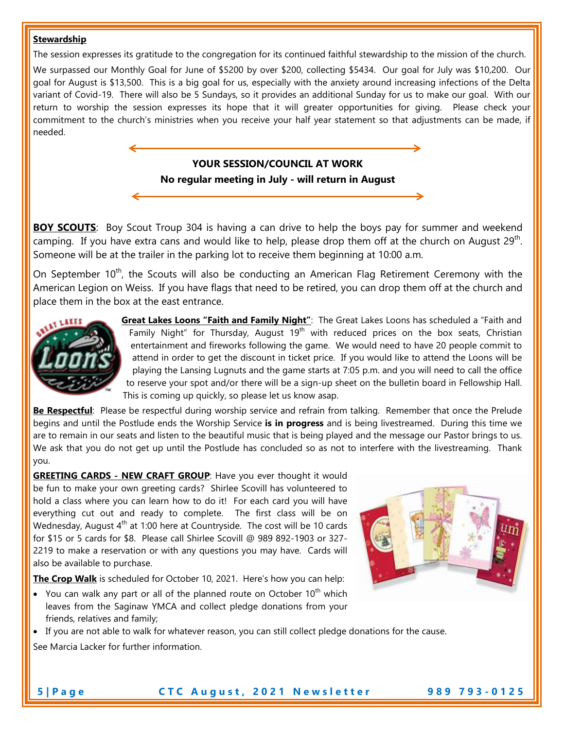#### **Stewardship**

The session expresses its gratitude to the congregation for its continued faithful stewardship to the mission of the church.

We surpassed our Monthly Goal for June of \$5200 by over \$200, collecting \$5434. Our goal for July was \$10,200. Our goal for August is \$13,500. This is a big goal for us, especially with the anxiety around increasing infections of the Delta variant of Covid-19. There will also be 5 Sundays, so it provides an additional Sunday for us to make our goal. With our return to worship the session expresses its hope that it will greater opportunities for giving. Please check your commitment to the church's ministries when you receive your half year statement so that adjustments can be made, if needed.

# **YOUR SESSION/COUNCIL AT WORK**

**No regular meeting in July - will return in August**

**BOY SCOUTS:** Boy Scout Troup 304 is having a can drive to help the boys pay for summer and weekend camping. If you have extra cans and would like to help, please drop them off at the church on August  $29<sup>th</sup>$ . Someone will be at the trailer in the parking lot to receive them beginning at 10:00 a.m.

On September 10<sup>th</sup>, the Scouts will also be conducting an American Flag Retirement Ceremony with the American Legion on Weiss. If you have flags that need to be retired, you can drop them off at the church and place them in the box at the east entrance.



**Great Lakes Loons "Faith and Family Night"**: The Great Lakes Loons has scheduled a "Faith and Family Night" for Thursday, August  $19<sup>th</sup>$  with reduced prices on the box seats, Christian entertainment and fireworks following the game. We would need to have 20 people commit to attend in order to get the discount in ticket price. If you would like to attend the Loons will be playing the Lansing Lugnuts and the game starts at 7:05 p.m. and you will need to call the office to reserve your spot and/or there will be a sign-up sheet on the bulletin board in Fellowship Hall. This is coming up quickly, so please let us know asap.

**Be Respectful**: Please be respectful during worship service and refrain from talking. Remember that once the Prelude begins and until the Postlude ends the Worship Service **is in progress** and is being livestreamed. During this time we are to remain in our seats and listen to the beautiful music that is being played and the message our Pastor brings to us. We ask that you do not get up until the Postlude has concluded so as not to interfere with the livestreaming. Thank you.

**GREETING CARDS - NEW CRAFT GROUP**: Have you ever thought it would be fun to make your own greeting cards? Shirlee Scovill has volunteered to hold a class where you can learn how to do it! For each card you will have everything cut out and ready to complete. The first class will be on Wednesday, August  $4<sup>th</sup>$  at 1:00 here at Countryside. The cost will be 10 cards for \$15 or 5 cards for \$8. Please call Shirlee Scovill @ 989 892-1903 or 327- 2219 to make a reservation or with any questions you may have. Cards will also be available to purchase.

**The Crop Walk** is scheduled for October 10, 2021. Here's how you can help:

- You can walk any part or all of the planned route on October  $10^{th}$  which leaves from the Saginaw YMCA and collect pledge donations from your friends, relatives and family;
- If you are not able to walk for whatever reason, you can still collect pledge donations for the cause. See Marcia Lacker for further information.

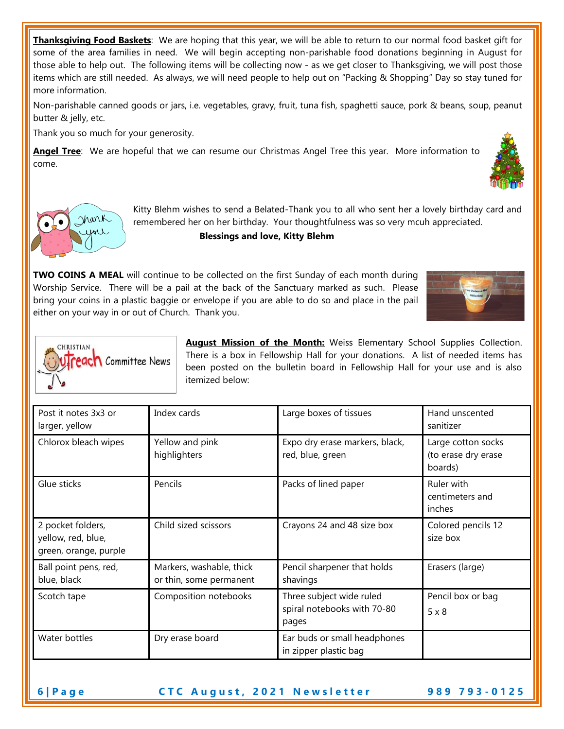**Thanksgiving Food Baskets**: We are hoping that this year, we will be able to return to our normal food basket gift for some of the area families in need. We will begin accepting non-parishable food donations beginning in August for those able to help out. The following items will be collecting now - as we get closer to Thanksgiving, we will post those items which are still needed. As always, we will need people to help out on "Packing & Shopping" Day so stay tuned for more information.

Non-parishable canned goods or jars, i.e. vegetables, gravy, fruit, tuna fish, spaghetti sauce, pork & beans, soup, peanut butter & jelly, etc.

Thank you so much for your generosity.

Irank

**Angel Tree**: We are hopeful that we can resume our Christmas Angel Tree this year. More information to come.



**Blessings and love, Kitty Blehm**

**TWO COINS A MEAL** will continue to be collected on the first Sunday of each month during Worship Service. There will be a pail at the back of the Sanctuary marked as such. Please bring your coins in a plastic baggie or envelope if you are able to do so and place in the pail either on your way in or out of Church. Thank you.



| <b>CHRISTIAN</b><br><b>reach</b> Committee News |  |
|-------------------------------------------------|--|
|                                                 |  |

**August Mission of the Month:** Weiss Elementary School Supplies Collection. There is a box in Fellowship Hall for your donations. A list of needed items has been posted on the bulletin board in Fellowship Hall for your use and is also itemized below:

| Post it notes 3x3 or<br>larger, yellow                           | Index cards                                         | Large boxes of tissues                                           | Hand unscented<br>sanitizer                          |
|------------------------------------------------------------------|-----------------------------------------------------|------------------------------------------------------------------|------------------------------------------------------|
| Chlorox bleach wipes                                             | Yellow and pink<br>highlighters                     | Expo dry erase markers, black,<br>red, blue, green               | Large cotton socks<br>(to erase dry erase<br>boards) |
| Glue sticks                                                      | Pencils                                             | Packs of lined paper                                             | Ruler with<br>centimeters and<br>inches              |
| 2 pocket folders,<br>yellow, red, blue,<br>green, orange, purple | Child sized scissors                                | Crayons 24 and 48 size box                                       | Colored pencils 12<br>size box                       |
| Ball point pens, red,<br>blue, black                             | Markers, washable, thick<br>or thin, some permanent | Pencil sharpener that holds<br>shavings                          | Erasers (large)                                      |
| Scotch tape                                                      | Composition notebooks                               | Three subject wide ruled<br>spiral notebooks with 70-80<br>pages | Pencil box or bag<br>$5 \times 8$                    |
| Water bottles                                                    | Dry erase board                                     | Ear buds or small headphones<br>in zipper plastic bag            |                                                      |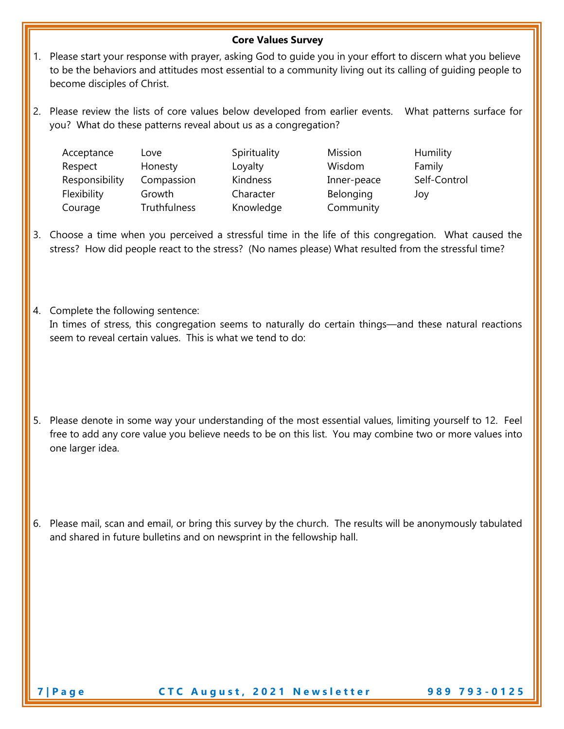### **Core Values Survey**

- 1. Please start your response with prayer, asking God to guide you in your effort to discern what you believe to be the behaviors and attitudes most essential to a community living out its calling of guiding people to become disciples of Christ.
- 2. Please review the lists of core values below developed from earlier events. What patterns surface for you? What do these patterns reveal about us as a congregation?

| Acceptance     | Love         | Spirituality | Mission     | Humili  |
|----------------|--------------|--------------|-------------|---------|
| Respect        | Honesty      | Loyalty      | Wisdom      | Family  |
| Responsibility | Compassion   | Kindness     | Inner-peace | Self-Co |
| Flexibility    | Growth       | Character    | Belonging   | Joy     |
| Courage        | Truthfulness | Knowledge    | Community   |         |

Love Spirituality Mission Humility Compassion Kindness Inner-peace Self-Control Frowth Character Belonging Joy

- 3. Choose a time when you perceived a stressful time in the life of this congregation. What caused the stress? How did people react to the stress? (No names please) What resulted from the stressful time?
- 4. Complete the following sentence: In times of stress, this congregation seems to naturally do certain things—and these natural reactions seem to reveal certain values. This is what we tend to do:
- 5. Please denote in some way your understanding of the most essential values, limiting yourself to 12. Feel free to add any core value you believe needs to be on this list. You may combine two or more values into one larger idea.
- 6. Please mail, scan and email, or bring this survey by the church. The results will be anonymously tabulated and shared in future bulletins and on newsprint in the fellowship hall.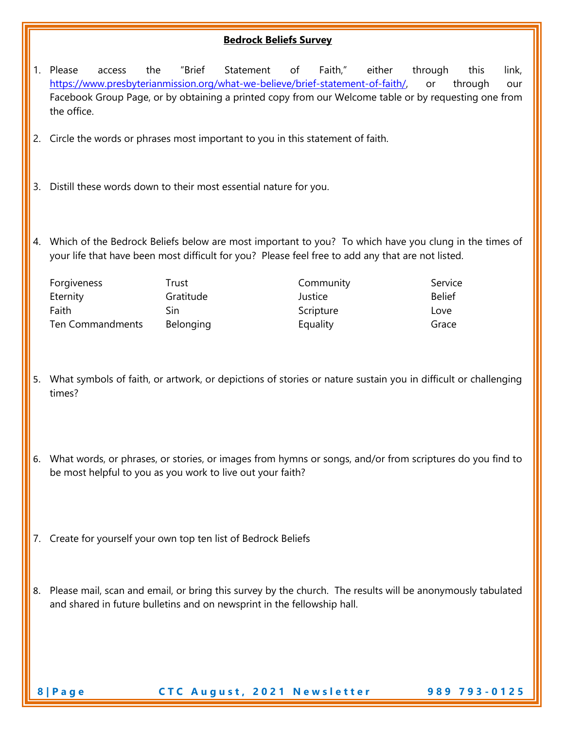# **Bedrock Beliefs Survey**

| 1. | Please<br>the<br>access<br>https://www.presbyterianmission.org/what-we-believe/brief-statement-of-faith/,<br>Facebook Group Page, or by obtaining a printed copy from our Welcome table or by requesting one from<br>the office. | "Brief           | Statement                   | of      | Faith,"               | either | through<br>or | this<br>through | link,<br>our |
|----|----------------------------------------------------------------------------------------------------------------------------------------------------------------------------------------------------------------------------------|------------------|-----------------------------|---------|-----------------------|--------|---------------|-----------------|--------------|
|    | 2. Circle the words or phrases most important to you in this statement of faith.                                                                                                                                                 |                  |                             |         |                       |        |               |                 |              |
|    | 3. Distill these words down to their most essential nature for you.                                                                                                                                                              |                  |                             |         |                       |        |               |                 |              |
|    | 4. Which of the Bedrock Beliefs below are most important to you? To which have you clung in the times of<br>your life that have been most difficult for you? Please feel free to add any that are not listed.                    |                  |                             |         |                       |        |               |                 |              |
|    | Forgiveness                                                                                                                                                                                                                      | Trust            |                             |         | Community             |        | Service       |                 |              |
|    | Eternity                                                                                                                                                                                                                         | Gratitude        |                             | Justice |                       |        | <b>Belief</b> |                 |              |
|    | Faith<br>Ten Commandments                                                                                                                                                                                                        | Sin<br>Belonging |                             |         | Scripture<br>Equality |        | Love<br>Grace |                 |              |
|    | 5. What symbols of faith, or artwork, or depictions of stories or nature sustain you in difficult or challenging                                                                                                                 |                  |                             |         |                       |        |               |                 |              |
|    | times?                                                                                                                                                                                                                           |                  |                             |         |                       |        |               |                 |              |
|    | 6. What words, or phrases, or stories, or images from hymns or songs, and/or from scriptures do you find to<br>be most helpful to you as you work to live out your faith?                                                        |                  |                             |         |                       |        |               |                 |              |
|    | 7. Create for yourself your own top ten list of Bedrock Beliefs                                                                                                                                                                  |                  |                             |         |                       |        |               |                 |              |
|    | 8. Please mail, scan and email, or bring this survey by the church. The results will be anonymously tabulated<br>and shared in future bulletins and on newsprint in the fellowship hall.                                         |                  |                             |         |                       |        |               |                 |              |
|    | 8   Page                                                                                                                                                                                                                         |                  | CTC August, 2021 Newsletter |         |                       |        |               | 989 793-0125    |              |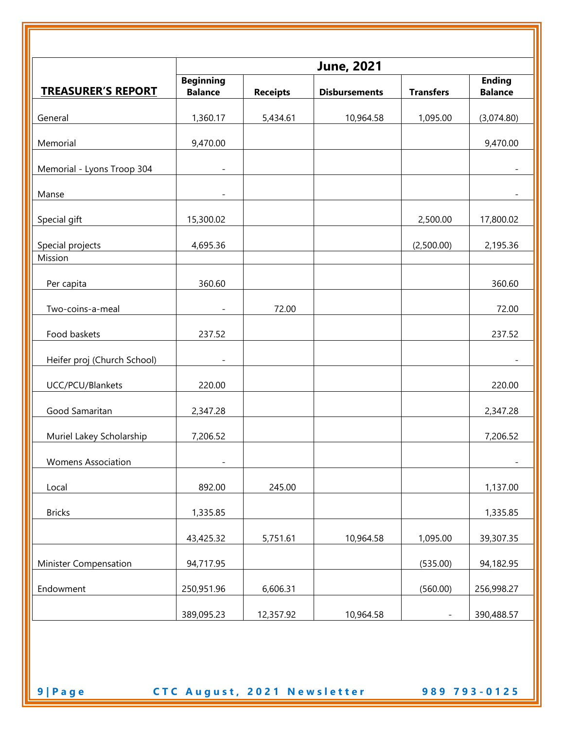|                             | <b>June, 2021</b>                  |                 |                      |                          |                                 |
|-----------------------------|------------------------------------|-----------------|----------------------|--------------------------|---------------------------------|
| <b>TREASURER'S REPORT</b>   | <b>Beginning</b><br><b>Balance</b> | <b>Receipts</b> | <b>Disbursements</b> | <b>Transfers</b>         | <b>Ending</b><br><b>Balance</b> |
| General                     | 1,360.17                           | 5,434.61        | 10,964.58            | 1,095.00                 | (3,074.80)                      |
| Memorial                    | 9,470.00                           |                 |                      |                          | 9,470.00                        |
| Memorial - Lyons Troop 304  |                                    |                 |                      |                          |                                 |
| Manse                       |                                    |                 |                      |                          | $\overline{\phantom{a}}$        |
| Special gift                | 15,300.02                          |                 |                      | 2,500.00                 | 17,800.02                       |
| Special projects<br>Mission | 4,695.36                           |                 |                      | (2,500.00)               | 2,195.36                        |
| Per capita                  | 360.60                             |                 |                      |                          | 360.60                          |
| Two-coins-a-meal            |                                    | 72.00           |                      |                          | 72.00                           |
| Food baskets                | 237.52                             |                 |                      |                          | 237.52                          |
| Heifer proj (Church School) |                                    |                 |                      |                          | $\overline{\phantom{a}}$        |
| UCC/PCU/Blankets            | 220.00                             |                 |                      |                          | 220.00                          |
| Good Samaritan              | 2,347.28                           |                 |                      |                          | 2,347.28                        |
| Muriel Lakey Scholarship    | 7,206.52                           |                 |                      |                          | 7,206.52                        |
| <b>Womens Association</b>   |                                    |                 |                      |                          |                                 |
| Local                       | 892.00                             | 245.00          |                      |                          | 1,137.00                        |
| <b>Bricks</b>               | 1,335.85                           |                 |                      |                          | 1,335.85                        |
|                             | 43,425.32                          | 5,751.61        | 10,964.58            | 1,095.00                 | 39,307.35                       |
| Minister Compensation       | 94,717.95                          |                 |                      | (535.00)                 | 94,182.95                       |
| Endowment                   | 250,951.96                         | 6,606.31        |                      | (560.00)                 | 256,998.27                      |
|                             | 389,095.23                         | 12,357.92       | 10,964.58            | $\overline{\phantom{a}}$ | 390,488.57                      |